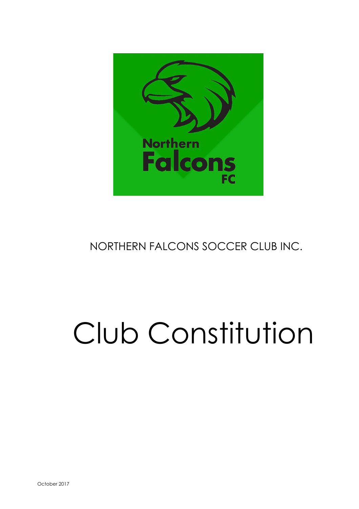

# NORTHERN FALCONS SOCCER CLUB INC.

# Club Constitution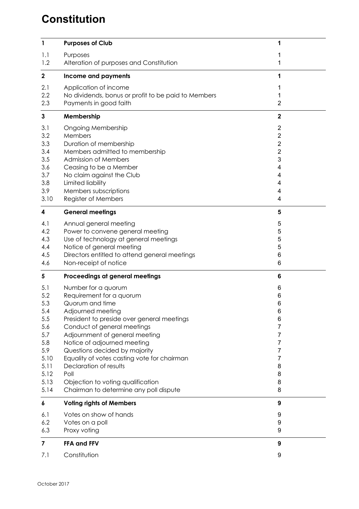## **Constitution**

| $\mathbf{1}$ | <b>Purposes of Club</b>                                       | 1                       |
|--------------|---------------------------------------------------------------|-------------------------|
|              |                                                               |                         |
| 1.1          | Purposes                                                      |                         |
| 1.2          | Alteration of purposes and Constitution                       | 1                       |
| $\mathbf 2$  | Income and payments                                           | 1                       |
| 2.1          | Application of income                                         | 1                       |
| 2.2          | No dividends, bonus or profit to be paid to Members           | 1                       |
| 2.3          | Payments in good faith                                        | $\overline{2}$          |
| $\mathbf{3}$ | Membership                                                    | $\mathbf 2$             |
| 3.1          | <b>Ongoing Membership</b>                                     | 2                       |
| 3.2          | Members                                                       | $\overline{\mathbf{c}}$ |
| 3.3          | Duration of membership                                        | $\overline{2}$          |
| 3.4          | Members admitted to membership                                | $\overline{2}$          |
| 3.5          | <b>Admission of Members</b>                                   | 3                       |
| 3.6          | Ceasing to be a Member                                        | 4                       |
| 3.7          | No claim against the Club                                     | 4                       |
| 3.8          | Limited liability<br>Members subscriptions                    | 4                       |
| 3.9<br>3.10  | Register of Members                                           | 4<br>4                  |
|              |                                                               |                         |
| 4            | <b>General meetings</b>                                       | 5                       |
| 4.1          | Annual general meeting                                        | 5                       |
| 4.2          | Power to convene general meeting                              | 5                       |
| 4.3          | Use of technology at general meetings                         | 5                       |
| 4.4          | Notice of general meeting                                     | 5                       |
| 4.5          | Directors entitled to attend general meetings                 | 6                       |
| 4.6          | Non-receipt of notice                                         | 6                       |
| 5            | Proceedings at general meetings                               | 6                       |
| 5.1          | Number for a quorum                                           | 6                       |
| 5.2          | Requirement for a quorum                                      | 6                       |
| 5.3          | Quorum and time                                               | 6                       |
| 5.4          | Adjourned meeting                                             | 6                       |
| 5.5          | President to preside over general meetings                    | 6                       |
| 5.6<br>5.7   | Conduct of general meetings                                   | 7                       |
| 5.8          | Adjournment of general meeting<br>Notice of adjourned meeting | 7<br>7                  |
| 5.9          | Questions decided by majority                                 | 7                       |
| 5.10         | Equality of votes casting vote for chairman                   | 7                       |
| 5.11         | Declaration of results                                        | 8                       |
| 5.12         | Poll                                                          | 8                       |
| 5.13         | Objection to voting qualification                             | 8                       |
| 5.14         | Chairman to determine any poll dispute                        | 8                       |
| 6            | <b>Voting rights of Members</b>                               | 9                       |
| 6.1          | Votes on show of hands                                        | 9                       |
| 6.2          | Votes on a poll                                               | 9                       |
| 6.3          | Proxy voting                                                  | 9                       |
| 7            | FFA and FFV                                                   | 9                       |
| 7.1          | Constitution                                                  | 9                       |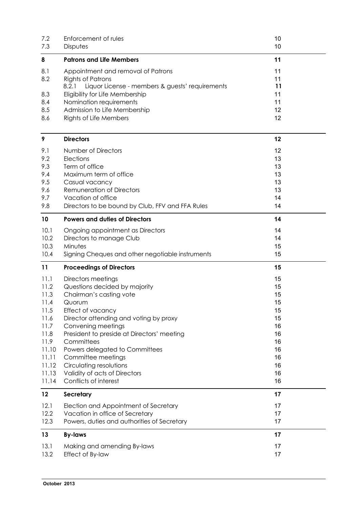| 7.2               | Enforcement of rules                                                                                                                                          | 10                   |
|-------------------|---------------------------------------------------------------------------------------------------------------------------------------------------------------|----------------------|
| 7.3               | Disputes                                                                                                                                                      | 10                   |
| 8                 | <b>Patrons and Life Members</b>                                                                                                                               | 11                   |
| 8.1<br>8.2<br>8.3 | Appointment and removal of Patrons<br><b>Rights of Patrons</b><br>8.2.1<br>Liquor License - members & guests' requirements<br>Eligibility for Life Membership | 11<br>11<br>11<br>11 |
| 8.4               | Nomination requirements                                                                                                                                       | 11                   |
| 8.5               | Admission to Life Membership                                                                                                                                  | 12                   |
| 8.6               | <b>Rights of Life Members</b>                                                                                                                                 | 12                   |
| 9                 | <b>Directors</b>                                                                                                                                              | 12                   |
| 9.1               | Number of Directors                                                                                                                                           | 12                   |
| 9.2               | Elections                                                                                                                                                     | 13                   |
| 9.3               | Term of office                                                                                                                                                | 13                   |
| 9.4               | Maximum term of office                                                                                                                                        | 13                   |
| 9.5               | Casual vacancy                                                                                                                                                | 13                   |
| 9.6               | <b>Remuneration of Directors</b>                                                                                                                              | 13                   |
| 9.7               | Vacation of office                                                                                                                                            | 14                   |
| 9.8               | Directors to be bound by Club, FFV and FFA Rules                                                                                                              | 14                   |
| 10                | <b>Powers and duties of Directors</b>                                                                                                                         | 14                   |
| 10.1              | Ongoing appointment as Directors                                                                                                                              | 14                   |
| 10.2              | Directors to manage Club                                                                                                                                      | 14                   |
| 10.3              | Minutes                                                                                                                                                       | 15                   |
| 10.4              | Signing Cheques and other negotiable instruments                                                                                                              | 15                   |
| 11                | <b>Proceedings of Directors</b>                                                                                                                               | 15                   |
| 11.1              | Directors meetings                                                                                                                                            | 15                   |
| 11.2              | Questions decided by majority                                                                                                                                 | 15                   |
| 11.3              | Chairman's casting vote                                                                                                                                       | 15                   |
| 11.4              | Quorum                                                                                                                                                        | 15                   |
| 11.5              | Effect of vacancy                                                                                                                                             | 15                   |
| 11.6              | Director attending and voting by proxy                                                                                                                        | 15                   |
| 11.7              | Convening meetings                                                                                                                                            | 16                   |
| 11.8              | President to preside at Directors' meeting                                                                                                                    | 16                   |
| 11.9              | Committees                                                                                                                                                    | 16                   |
| 11.10             | Powers delegated to Committees                                                                                                                                | 16                   |
| 11.11             | Committee meetings                                                                                                                                            | 16                   |
| 11.12             | Circulating resolutions                                                                                                                                       | 16                   |
| 11.13             | Validity of acts of Directors                                                                                                                                 | 16                   |
| 11.14             | Conflicts of interest                                                                                                                                         | 16                   |
| 12                | <b>Secretary</b>                                                                                                                                              | 17                   |
|                   |                                                                                                                                                               |                      |
| 12.1              | Election and Appointment of Secretary                                                                                                                         | 17                   |
| 12.2              | Vacation in office of Secretary                                                                                                                               | 17                   |
| 12.3              | Powers, duties and authorities of Secretary                                                                                                                   | 17                   |
| 13                | <b>By-laws</b>                                                                                                                                                | 17                   |
| 13.1              | Making and amending By-laws                                                                                                                                   | 17                   |
| 13.2              | Effect of By-law                                                                                                                                              | 17                   |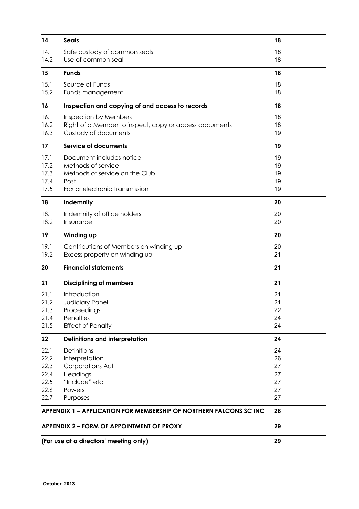| 14                                                   | <b>Seals</b>                                                                                                               | 18                                     |
|------------------------------------------------------|----------------------------------------------------------------------------------------------------------------------------|----------------------------------------|
| 14.1<br>14.2                                         | Safe custody of common seals<br>Use of common seal                                                                         | 18<br>18                               |
| 15                                                   | <b>Funds</b>                                                                                                               | 18                                     |
| 15.1<br>15.2                                         | Source of Funds<br>Funds management                                                                                        | 18<br>18                               |
| 16                                                   | Inspection and copying of and access to records                                                                            | 18                                     |
| 16.1<br>16.2<br>16.3                                 | Inspection by Members<br>Right of a Member to inspect, copy or access documents<br>Custody of documents                    | 18<br>18<br>19                         |
| 17                                                   | <b>Service of documents</b>                                                                                                | 19                                     |
| 17.1<br>17.2<br>17.3<br>17.4<br>17.5                 | Document includes notice<br>Methods of service<br>Methods of service on the Club<br>Post<br>Fax or electronic transmission | 19<br>19<br>19<br>19<br>19             |
| 18                                                   | Indemnity                                                                                                                  | 20                                     |
| 18.1<br>18.2                                         | Indemnity of office holders<br>Insurance                                                                                   | 20<br>20                               |
| 19                                                   | Winding up                                                                                                                 | 20                                     |
| 19.1<br>19.2                                         | Contributions of Members on winding up<br>Excess property on winding up                                                    | 20<br>21                               |
| 20                                                   | <b>Financial statements</b>                                                                                                | 21                                     |
| 21                                                   | <b>Disciplining of members</b>                                                                                             | 21                                     |
| 21.1<br>21.2<br>21.3<br>21.4<br>21.5                 | Introduction<br>Judiciary Panel<br>Proceedings<br>Penalties<br><b>Effect of Penalty</b>                                    | 21<br>21<br>22<br>24<br>24             |
| 22                                                   | Definitions and interpretation                                                                                             | 24                                     |
| 22.1<br>22.2<br>22.3<br>22.4<br>22.5<br>22.6<br>22.7 | Definitions<br>Interpretation<br>Corporations Act<br>Headings<br>"Include" etc.<br>Powers<br>Purposes                      | 24<br>26<br>27<br>27<br>27<br>27<br>27 |
|                                                      | <b>APPENDIX 1 – APPLICATION FOR MEMBERSHIP OF NORTHERN FALCONS SC INC</b>                                                  | 28                                     |
| <b>APPENDIX 2 – FORM OF APPOINTMENT OF PROXY</b>     |                                                                                                                            | 29                                     |
| (For use at a directors' meeting only)               |                                                                                                                            | 29                                     |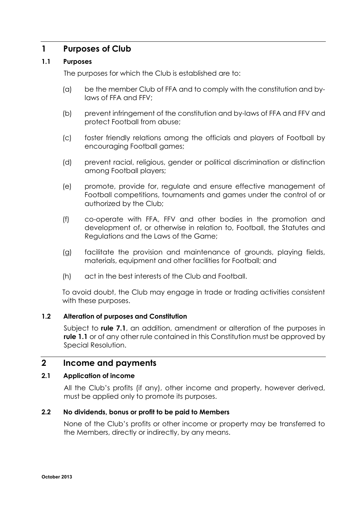## **1 Purposes of Club**

## **1.1 Purposes**

The purposes for which the Club is established are to:

- (a) be the member Club of FFA and to comply with the constitution and bylaws of FFA and FFV;
- (b) prevent infringement of the constitution and by-laws of FFA and FFV and protect Football from abuse;
- (c) foster friendly relations among the officials and players of Football by encouraging Football games;
- (d) prevent racial, religious, gender or political discrimination or distinction among Football players;
- (e) promote, provide for, regulate and ensure effective management of Football competitions, tournaments and games under the control of or authorized by the Club;
- (f) co-operate with FFA, FFV and other bodies in the promotion and development of, or otherwise in relation to, Football, the Statutes and Regulations and the Laws of the Game;
- (g) facilitate the provision and maintenance of grounds, playing fields, materials, equipment and other facilities for Football; and
- (h) act in the best interests of the Club and Football.

To avoid doubt, the Club may engage in trade or trading activities consistent with these purposes.

## **1.2 Alteration of purposes and Constitution**

Subject to **rule 7.1**, an addition, amendment or alteration of the purposes in **rule 1.1** or of any other rule contained in this Constitution must be approved by Special Resolution.

## **2 Income and payments**

## **2.1 Application of income**

All the Club's profits (if any), other income and property, however derived, must be applied only to promote its purposes.

## **2.2 No dividends, bonus or profit to be paid to Members**

None of the Club's profits or other income or property may be transferred to the Members, directly or indirectly, by any means.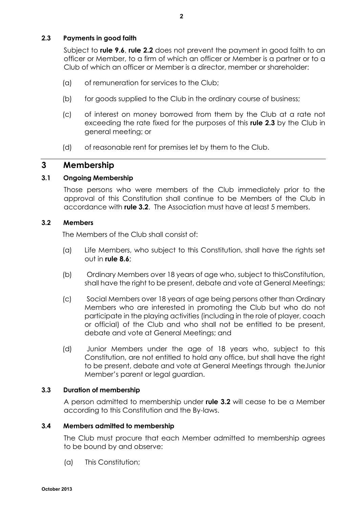## **2.3 Payments in good faith**

Subject to **rule 9.6**, **rule 2.2** does not prevent the payment in good faith to an officer or Member, to a firm of which an officer or Member is a partner or to a Club of which an officer or Member is a director, member or shareholder:

- (a) of remuneration for services to the Club;
- (b) for goods supplied to the Club in the ordinary course of business;
- (c) of interest on money borrowed from them by the Club at a rate not exceeding the rate fixed for the purposes of this **rule 2.3** by the Club in general meeting; or
- (d) of reasonable rent for premises let by them to the Club.

## **3 Membership**

## **3.1 Ongoing Membership**

Those persons who were members of the Club immediately prior to the approval of this Constitution shall continue to be Members of the Club in accordance with **rule 3.2**. The Association must have at least 5 members.

## **3.2 Members**

The Members of the Club shall consist of:

- (a) Life Members, who subject to this Constitution, shall have the rights set out in **rule 8.6**;
- (b) Ordinary Members over 18 years of age who, subject to thisConstitution, shall have the right to be present, debate and vote at General Meetings;
- (c) Social Members over 18 years of age being persons other than Ordinary Members who are interested in promoting the Club but who do not participate in the playing activities (including in the role of player, coach or official) of the Club and who shall not be entitled to be present, debate and vote at General Meetings; and
- (d) Junior Members under the age of 18 years who, subject to this Constitution, are not entitled to hold any office, but shall have the right to be present, debate and vote at General Meetings through theJunior Member's parent or legal guardian.

## **3.3 Duration of membership**

A person admitted to membership under **rule 3.2** will cease to be a Member according to this Constitution and the By-laws.

## **3.4 Members admitted to membership**

The Club must procure that each Member admitted to membership agrees to be bound by and observe:

(a) This Constitution;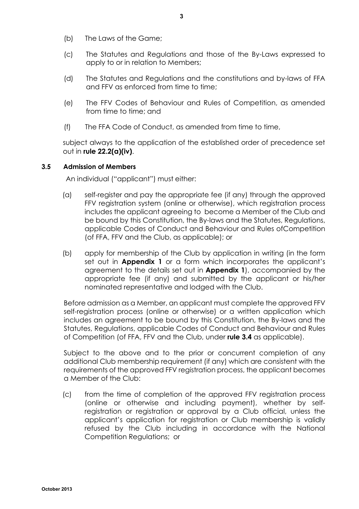- (b) The Laws of the Game;
- (c) The Statutes and Regulations and those of the By-Laws expressed to apply to or in relation to Members;
- (d) The Statutes and Regulations and the constitutions and by-laws of FFA and FFV as enforced from time to time;
- (e) The FFV Codes of Behaviour and Rules of Competition, as amended from time to time; and
- (f) The FFA Code of Conduct, as amended from time to time,

subject always to the application of the established order of precedence set out in **rule 22.2(a)(iv)**.

## **3.5 Admission of Members**

An individual ("applicant") must either:

- (a) self-register and pay the appropriate fee (if any) through the approved FFV registration system (online or otherwise), which registration process includes the applicant agreeing to become a Member of the Club and be bound by this Constitution, the By-laws and the Statutes, Regulations, applicable Codes of Conduct and Behaviour and Rules ofCompetition (of FFA, FFV and the Club, as applicable); or
- (b) apply for membership of the Club by application in writing (in the form set out in **Appendix 1** or a form which incorporates the applicant's agreement to the details set out in **Appendix 1**), accompanied by the appropriate fee (if any) and submitted by the applicant or his/her nominated representative and lodged with the Club.

Before admission as a Member, an applicant must complete the approved FFV self-registration process (online or otherwise) or a written application which includes an agreement to be bound by this Constitution, the By-laws and the Statutes, Regulations, applicable Codes of Conduct and Behaviour and Rules of Competition (of FFA, FFV and the Club, under **rule 3.4** as applicable).

Subject to the above and to the prior or concurrent completion of any additional Club membership requirement (if any) which are consistent with the requirements of the approved FFV registration process, the applicant becomes a Member of the Club:

(c) from the time of completion of the approved FFV registration process (online or otherwise and including payment), whether by selfregistration or registration or approval by a Club official, unless the applicant's application for registration or Club membership is validly refused by the Club including in accordance with the National Competition Regulations; or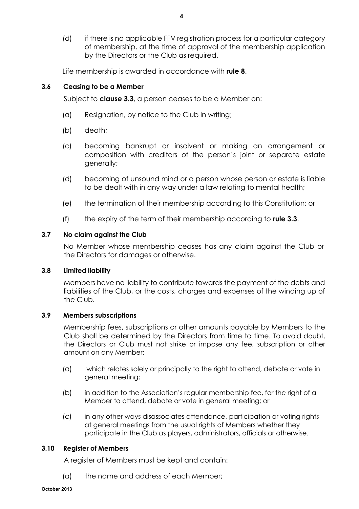(d) if there is no applicable FFV registration process for a particular category of membership, at the time of approval of the membership application by the Directors or the Club as required.

Life membership is awarded in accordance with **rule 8**.

## **3.6 Ceasing to be a Member**

Subject to **clause 3.3**, a person ceases to be a Member on:

- (a) Resignation, by notice to the Club in writing;
- (b) death;
- (c) becoming bankrupt or insolvent or making an arrangement or composition with creditors of the person's joint or separate estate generally;
- (d) becoming of unsound mind or a person whose person or estate is liable to be dealt with in any way under a law relating to mental health;
- (e) the termination of their membership according to this Constitution; or
- (f) the expiry of the term of their membership according to **rule 3.3**.

## **3.7 No claim against the Club**

No Member whose membership ceases has any claim against the Club or the Directors for damages or otherwise.

## **3.8 Limited liability**

Members have no liability to contribute towards the payment of the debts and liabilities of the Club, or the costs, charges and expenses of the winding up of the Club.

## **3.9 Members subscriptions**

Membership fees, subscriptions or other amounts payable by Members to the Club shall be determined by the Directors from time to time. To avoid doubt, the Directors or Club must not strike or impose any fee, subscription or other amount on any Member:

- (a) which relates solely or principally to the right to attend, debate or vote in general meeting;
- (b) in addition to the Association's regular membership fee, for the right of a Member to attend, debate or vote in general meeting; or
- (c) in any other ways disassociates attendance, participation or voting rights at general meetings from the usual rights of Members whether they participate in the Club as players, administrators, officials or otherwise.

## **3.10 Register of Members**

A register of Members must be kept and contain:

(a) the name and address of each Member;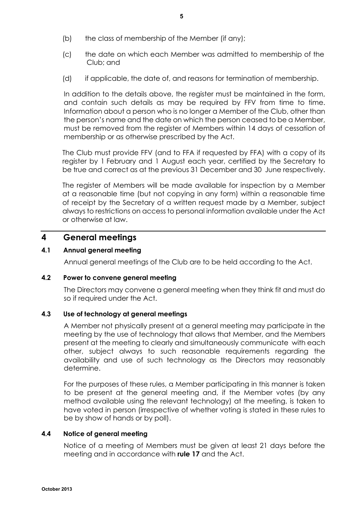- (b) the class of membership of the Member (if any);
- (c) the date on which each Member was admitted to membership of the Club; and
- (d) if applicable, the date of, and reasons for termination of membership.

In addition to the details above, the register must be maintained in the form, and contain such details as may be required by FFV from time to time. Information about a person who is no longer a Member of the Club, other than the person's name and the date on which the person ceased to be a Member, must be removed from the register of Members within 14 days of cessation of membership or as otherwise prescribed by the Act.

The Club must provide FFV (and to FFA if requested by FFA) with a copy of its register by 1 February and 1 August each year, certified by the Secretary to be true and correct as at the previous 31 December and 30 June respectively.

The register of Members will be made available for inspection by a Member at a reasonable time (but not copying in any form) within a reasonable time of receipt by the Secretary of a written request made by a Member, subject always to restrictions on access to personal information available under the Act or otherwise at law.

## **4 General meetings**

## **4.1 Annual general meeting**

Annual general meetings of the Club are to be held according to the Act.

## **4.2 Power to convene general meeting**

The Directors may convene a general meeting when they think fit and must do so if required under the Act.

## **4.3 Use of technology at general meetings**

A Member not physically present at a general meeting may participate in the meeting by the use of technology that allows that Member, and the Members present at the meeting to clearly and simultaneously communicate with each other, subject always to such reasonable requirements regarding the availability and use of such technology as the Directors may reasonably determine.

For the purposes of these rules, a Member participating in this manner is taken to be present at the general meeting and, if the Member votes (by any method available using the relevant technology) at the meeting, is taken to have voted in person (irrespective of whether voting is stated in these rules to be by show of hands or by poll).

## **4.4 Notice of general meeting**

Notice of a meeting of Members must be given at least 21 days before the meeting and in accordance with **rule 17** and the Act.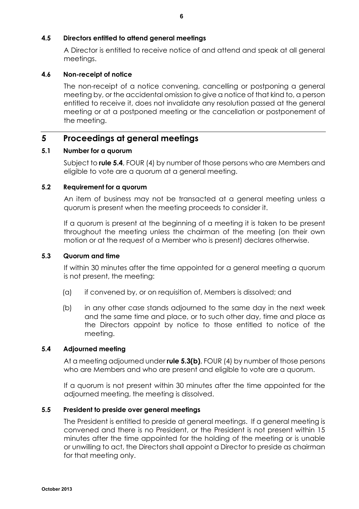## **4.5 Directors entitled to attend general meetings**

A Director is entitled to receive notice of and attend and speak at all general meetings.

## **4.6 Non-receipt of notice**

The non-receipt of a notice convening, cancelling or postponing a general meeting by, or the accidental omission to give a notice of that kind to, a person entitled to receive it, does not invalidate any resolution passed at the general meeting or at a postponed meeting or the cancellation or postponement of the meeting.

## **5 Proceedings at general meetings**

## **5.1 Number for a quorum**

Subject to **rule 5.4**, FOUR (4) by number of those persons who are Members and eligible to vote are a quorum at a general meeting.

## **5.2 Requirement for a quorum**

An item of business may not be transacted at a general meeting unless a quorum is present when the meeting proceeds to consider it.

If a quorum is present at the beginning of a meeting it is taken to be present throughout the meeting unless the chairman of the meeting (on their own motion or at the request of a Member who is present) declares otherwise.

## **5.3 Quorum and time**

If within 30 minutes after the time appointed for a general meeting a quorum is not present, the meeting:

- (a) if convened by, or on requisition of, Members is dissolved; and
- (b) in any other case stands adjourned to the same day in the next week and the same time and place, or to such other day, time and place as the Directors appoint by notice to those entitled to notice of the meeting.

## **5.4 Adjourned meeting**

At a meeting adjourned under **rule 5.3(b)**, FOUR (4) by number of those persons who are Members and who are present and eligible to vote are a quorum.

If a quorum is not present within 30 minutes after the time appointed for the adjourned meeting, the meeting is dissolved.

## **5.5 President to preside over general meetings**

The President is entitled to preside at general meetings. If a general meeting is convened and there is no President, or the President is not present within 15 minutes after the time appointed for the holding of the meeting or is unable or unwilling to act, the Directors shall appoint a Director to preside as chairman for that meeting only.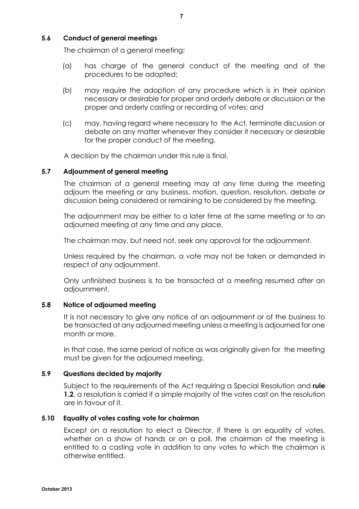## **5.6 Conduct of general meetings**

The chairman of a general meeting:

- (a) has charge of the general conduct of the meeting and of the procedures to be adopted;
- (b) may require the adoption of any procedure which is in their opinion necessary or desirable for proper and orderly debate or discussion or the proper and orderly casting or recording of votes; and
- (c) may, having regard where necessary to the Act, terminate discussion or debate on any matter whenever they consider it necessary or desirable for the proper conduct of the meeting.

A decision by the chairman under this rule is final.

## **5.7 Adjournment of general meeting**

The chairman of a general meeting may at any time during the meeting adjourn the meeting or any business, motion, question, resolution, debate or discussion being considered or remaining to be considered by the meeting.

The adjournment may be either to a later time at the same meeting or to an adjourned meeting at any time and any place.

The chairman may, but need not, seek any approval for the adjournment.

Unless required by the chairman, a vote may not be taken or demanded in respect of any adjournment.

Only unfinished business is to be transacted at a meeting resumed after an adjournment.

## **5.8 Notice of adjourned meeting**

It is not necessary to give any notice of an adjournment or of the business to be transacted at any adjourned meeting unless a meeting is adjourned for one month or more.

In that case, the same period of notice as was originally given for the meeting must be given for the adjourned meeting.

## **5.9 Questions decided by majority**

Subject to the requirements of the Act requiring a Special Resolution and **rule 1.2**, a resolution is carried if a simple majority of the votes cast on the resolution are in favour of it.

## **5.10 Equality of votes casting vote for chairman**

Except on a resolution to elect a Director, if there is an equality of votes, whether on a show of hands or on a poll, the chairman of the meeting is entitled to a casting vote in addition to any votes to which the chairman is otherwise entitled.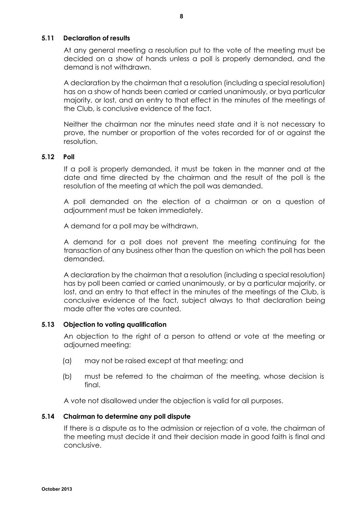## **5.11 Declaration of results**

At any general meeting a resolution put to the vote of the meeting must be decided on a show of hands unless a poll is properly demanded, and the demand is not withdrawn.

A declaration by the chairman that a resolution (including a special resolution) has on a show of hands been carried or carried unanimously, or bya particular majority, or lost, and an entry to that effect in the minutes of the meetings of the Club, is conclusive evidence of the fact.

Neither the chairman nor the minutes need state and it is not necessary to prove, the number or proportion of the votes recorded for of or against the resolution.

## **5.12 Poll**

If a poll is properly demanded, it must be taken in the manner and at the date and time directed by the chairman and the result of the poll is the resolution of the meeting at which the poll was demanded.

A poll demanded on the election of a chairman or on a question of adjournment must be taken immediately.

A demand for a poll may be withdrawn.

A demand for a poll does not prevent the meeting continuing for the transaction of any business other than the question on which the poll has been demanded.

A declaration by the chairman that a resolution (including a special resolution) has by poll been carried or carried unanimously, or by a particular majority, or lost, and an entry to that effect in the minutes of the meetings of the Club, is conclusive evidence of the fact, subject always to that declaration being made after the votes are counted.

## **5.13 Objection to voting qualification**

An objection to the right of a person to attend or vote at the meeting or adjourned meeting:

- (a) may not be raised except at that meeting; and
- (b) must be referred to the chairman of the meeting, whose decision is final.

A vote not disallowed under the objection is valid for all purposes.

## **5.14 Chairman to determine any poll dispute**

If there is a dispute as to the admission or rejection of a vote, the chairman of the meeting must decide it and their decision made in good faith is final and conclusive.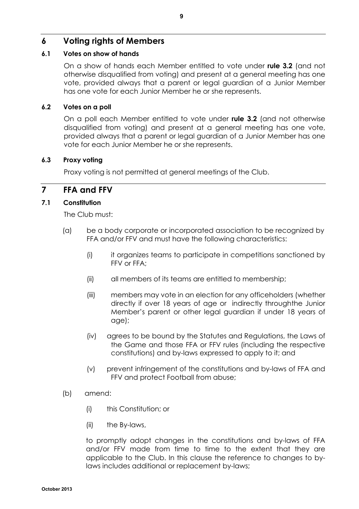## **6 Voting rights of Members**

## **6.1 Votes on show of hands**

On a show of hands each Member entitled to vote under **rule 3.2** (and not otherwise disqualified from voting) and present at a general meeting has one vote, provided always that a parent or legal guardian of a Junior Member has one vote for each Junior Member he or she represents.

## **6.2 Votes on a poll**

On a poll each Member entitled to vote under **rule 3.2** (and not otherwise disqualified from voting) and present at a general meeting has one vote, provided always that a parent or legal guardian of a Junior Member has one vote for each Junior Member he or she represents.

## **6.3 Proxy voting**

Proxy voting is not permitted at general meetings of the Club.

## **7 FFA and FFV**

## **7.1 Constitution**

The Club must:

- (a) be a body corporate or incorporated association to be recognized by FFA and/or FFV and must have the following characteristics:
	- (i) it organizes teams to participate in competitions sanctioned by FFV or FFA;
	- (ii) all members of its teams are entitled to membership;
	- (iii) members may vote in an election for any officeholders (whether directly if over 18 years of age or indirectly throughthe Junior Member's parent or other legal guardian if under 18 years of age);
	- (iv) agrees to be bound by the Statutes and Regulations, the Laws of the Game and those FFA or FFV rules (including the respective constitutions) and by-laws expressed to apply to it; and
	- (v) prevent infringement of the constitutions and by-laws of FFA and FFV and protect Football from abuse;
- (b) amend:
	- (i) this Constitution; or
	- (ii) the By-laws,

to promptly adopt changes in the constitutions and by-laws of FFA and/or FFV made from time to time to the extent that they are applicable to the Club. In this clause the reference to changes to bylaws includes additional or replacement by-laws;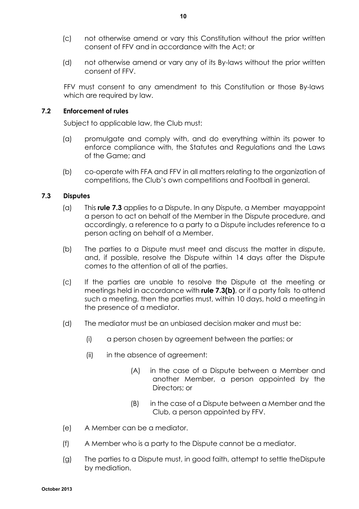- (c) not otherwise amend or vary this Constitution without the prior written consent of FFV and in accordance with the Act; or
- (d) not otherwise amend or vary any of its By-laws without the prior written consent of FFV.

FFV must consent to any amendment to this Constitution or those By-laws which are required by law.

## **7.2 Enforcement of rules**

Subject to applicable law, the Club must:

- (a) promulgate and comply with, and do everything within its power to enforce compliance with, the Statutes and Regulations and the Laws of the Game; and
- (b) co-operate with FFA and FFV in all matters relating to the organization of competitions, the Club's own competitions and Football in general.

## **7.3 Disputes**

- (a) This **rule 7.3** applies to a Dispute. In any Dispute, a Member mayappoint a person to act on behalf of the Member in the Dispute procedure, and accordingly, a reference to a party to a Dispute includes reference to a person acting on behalf of a Member.
- (b) The parties to a Dispute must meet and discuss the matter in dispute, and, if possible, resolve the Dispute within 14 days after the Dispute comes to the attention of all of the parties.
- (c) If the parties are unable to resolve the Dispute at the meeting or meetings held in accordance with **rule 7.3(b)**, or if a party fails to attend such a meeting, then the parties must, within 10 days, hold a meeting in the presence of a mediator.
- (d) The mediator must be an unbiased decision maker and must be:
	- (i) a person chosen by agreement between the parties; or
	- (ii) in the absence of agreement:
		- (A) in the case of a Dispute between a Member and another Member, a person appointed by the Directors; or
		- (B) in the case of a Dispute between a Member and the Club, a person appointed by FFV.
- (e) A Member can be a mediator.
- (f) A Member who is a party to the Dispute cannot be a mediator.
- (g) The parties to a Dispute must, in good faith, attempt to settle theDispute by mediation.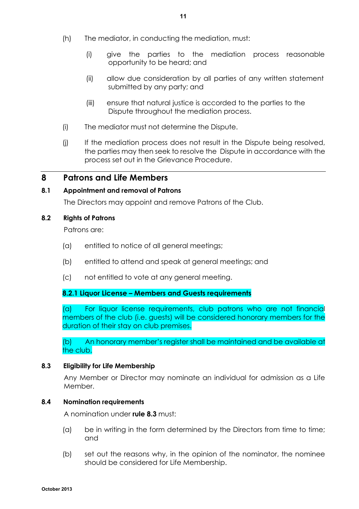- (h) The mediator, in conducting the mediation, must:
	- (i) give the parties to the mediation process reasonable opportunity to be heard; and
	- (ii) allow due consideration by all parties of any written statement submitted by any party; and
	- (iii) ensure that natural justice is accorded to the parties to the Dispute throughout the mediation process.
- (i) The mediator must not determine the Dispute.
- (j) If the mediation process does not result in the Dispute being resolved, the parties may then seek to resolve the Dispute in accordance with the process set out in the Grievance Procedure.

## **8 Patrons and Life Members**

## **8.1 Appointment and removal of Patrons**

The Directors may appoint and remove Patrons of the Club.

## **8.2 Rights of Patrons**

Patrons are:

- (a) entitled to notice of all general meetings;
- (b) entitled to attend and speak at general meetings; and
- (c) not entitled to vote at any general meeting.

## **8.2.1 Liquor License – Members and Guests requirements**

(a) For liquor license requirements, club patrons who are not financial members of the club (i.e. guests) will be considered honorary members for the duration of their stay on club premises.

(b) An honorary member's register shall be maintained and be available at the club.

## **8.3 Eligibility for Life Membership**

Any Member or Director may nominate an individual for admission as a Life Member.

## **8.4 Nomination requirements**

A nomination under **rule 8.3** must:

- (a) be in writing in the form determined by the Directors from time to time; and
- (b) set out the reasons why, in the opinion of the nominator, the nominee should be considered for Life Membership.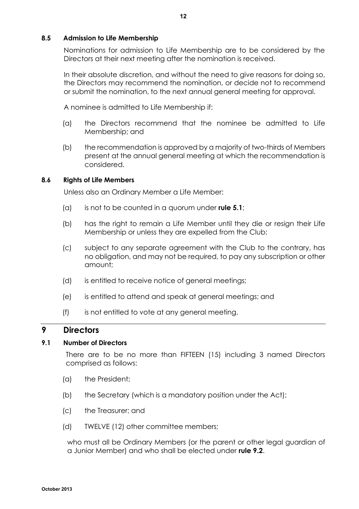## **8.5 Admission to Life Membership**

Nominations for admission to Life Membership are to be considered by the Directors at their next meeting after the nomination is received.

In their absolute discretion, and without the need to give reasons for doing so, the Directors may recommend the nomination, or decide not to recommend or submit the nomination, to the next annual general meeting for approval.

A nominee is admitted to Life Membership if:

- (a) the Directors recommend that the nominee be admitted to Life Membership; and
- (b) the recommendation is approved by a majority of two-thirds of Members present at the annual general meeting at which the recommendation is considered.

## **8.6 Rights of Life Members**

Unless also an Ordinary Member a Life Member:

- (a) is not to be counted in a quorum under **rule 5.1**;
- (b) has the right to remain a Life Member until they die or resign their Life Membership or unless they are expelled from the Club;
- (c) subject to any separate agreement with the Club to the contrary, has no obligation, and may not be required, to pay any subscription or other amount;
- (d) is entitled to receive notice of general meetings;
- (e) is entitled to attend and speak at general meetings; and
- (f) is not entitled to vote at any general meeting.

## **9 Directors**

## **9.1 Number of Directors**

There are to be no more than FIFTEEN (15) including 3 named Directors comprised as follows:

- (a) the President;
- (b) the Secretary (which is a mandatory position under the Act);
- (c) the Treasurer; and
- (d) TWELVE (12) other committee members;

who must all be Ordinary Members (or the parent or other legal guardian of a Junior Member) and who shall be elected under **rule 9.2**.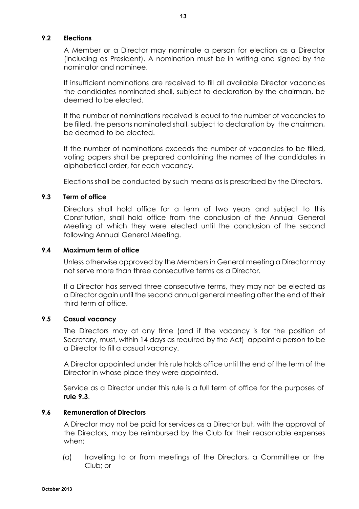## **9.2 Elections**

A Member or a Director may nominate a person for election as a Director (including as President). A nomination must be in writing and signed by the nominator and nominee.

If insufficient nominations are received to fill all available Director vacancies the candidates nominated shall, subject to declaration by the chairman, be deemed to be elected.

If the number of nominations received is equal to the number of vacancies to be filled, the persons nominated shall, subject to declaration by the chairman, be deemed to be elected.

If the number of nominations exceeds the number of vacancies to be filled, voting papers shall be prepared containing the names of the candidates in alphabetical order, for each vacancy.

Elections shall be conducted by such means as is prescribed by the Directors.

## **9.3 Term of office**

Directors shall hold office for a term of two years and subject to this Constitution, shall hold office from the conclusion of the Annual General Meeting at which they were elected until the conclusion of the second following Annual General Meeting.

## **9.4 Maximum term of office**

Unless otherwise approved by the Members in General meeting a Director may not serve more than three consecutive terms as a Director.

If a Director has served three consecutive terms, they may not be elected as a Director again until the second annual general meeting after the end of their third term of office.

## **9.5 Casual vacancy**

The Directors may at any time (and if the vacancy is for the position of Secretary, must, within 14 days as required by the Act) appoint a person to be a Director to fill a casual vacancy.

A Director appointed under this rule holds office until the end of the term of the Director in whose place they were appointed.

Service as a Director under this rule is a full term of office for the purposes of **rule 9.3**.

## **9.6 Remuneration of Directors**

A Director may not be paid for services as a Director but, with the approval of the Directors, may be reimbursed by the Club for their reasonable expenses when:

(a) travelling to or from meetings of the Directors, a Committee or the Club; or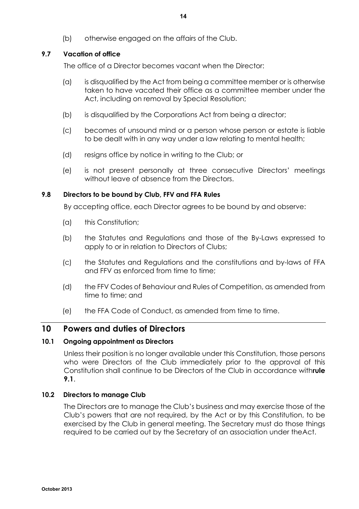(b) otherwise engaged on the affairs of the Club.

## **9.7 Vacation of office**

The office of a Director becomes vacant when the Director:

- (a) is disqualified by the Act from being a committee member or is otherwise taken to have vacated their office as a committee member under the Act, including on removal by Special Resolution;
- (b) is disqualified by the Corporations Act from being a director;
- (c) becomes of unsound mind or a person whose person or estate is liable to be dealt with in any way under a law relating to mental health;
- (d) resigns office by notice in writing to the Club; or
- (e) is not present personally at three consecutive Directors' meetings without leave of absence from the Directors.

## **9.8 Directors to be bound by Club, FFV and FFA Rules**

By accepting office, each Director agrees to be bound by and observe:

- (a) this Constitution;
- (b) the Statutes and Regulations and those of the By-Laws expressed to apply to or in relation to Directors of Clubs;
- (c) the Statutes and Regulations and the constitutions and by-laws of FFA and FFV as enforced from time to time;
- (d) the FFV Codes of Behaviour and Rules of Competition, as amended from time to time; and
- (e) the FFA Code of Conduct, as amended from time to time.

## **10 Powers and duties of Directors**

## **10.1 Ongoing appointment as Directors**

Unless their position is no longer available under this Constitution, those persons who were Directors of the Club immediately prior to the approval of this Constitution shall continue to be Directors of the Club in accordance with**rule 9.1**.

## **10.2 Directors to manage Club**

The Directors are to manage the Club's business and may exercise those of the Club's powers that are not required, by the Act or by this Constitution, to be exercised by the Club in general meeting. The Secretary must do those things required to be carried out by the Secretary of an association under theAct.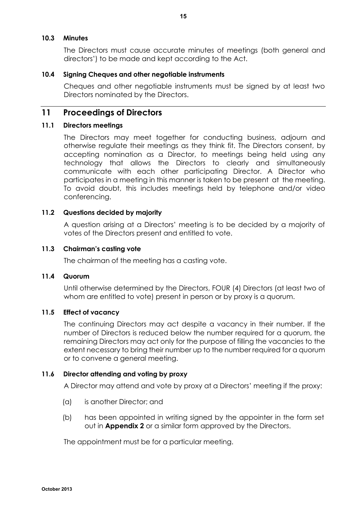## **10.3 Minutes**

The Directors must cause accurate minutes of meetings (both general and directors') to be made and kept according to the Act.

## **10.4 Signing Cheques and other negotiable instruments**

Cheques and other negotiable instruments must be signed by at least two Directors nominated by the Directors.

## **11 Proceedings of Directors**

## **11.1 Directors meetings**

The Directors may meet together for conducting business, adjourn and otherwise regulate their meetings as they think fit. The Directors consent, by accepting nomination as a Director, to meetings being held using any technology that allows the Directors to clearly and simultaneously communicate with each other participating Director. A Director who participates in a meeting in this manner is taken to be present at the meeting. To avoid doubt, this includes meetings held by telephone and/or video conferencing.

## **11.2 Questions decided by majority**

A question arising at a Directors' meeting is to be decided by a majority of votes of the Directors present and entitled to vote.

## **11.3 Chairman's casting vote**

The chairman of the meeting has a casting vote.

## **11.4 Quorum**

Until otherwise determined by the Directors, FOUR (4) Directors (at least two of whom are entitled to vote) present in person or by proxy is a quorum.

## **11.5 Effect of vacancy**

The continuing Directors may act despite a vacancy in their number. If the number of Directors is reduced below the number required for a quorum, the remaining Directors may act only for the purpose of filling the vacancies to the extent necessary to bring their number up to the number required for a quorum or to convene a general meeting.

## **11.6 Director attending and voting by proxy**

A Director may attend and vote by proxy at a Directors' meeting if the proxy:

- (a) is another Director; and
- (b) has been appointed in writing signed by the appointer in the form set out in **Appendix 2** or a similar form approved by the Directors.

The appointment must be for a particular meeting.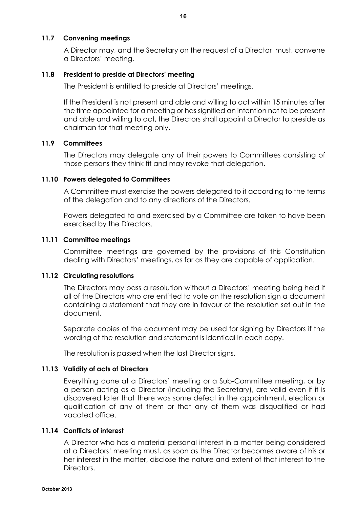## **11.7 Convening meetings**

A Director may, and the Secretary on the request of a Director must, convene a Directors' meeting.

## **11.8 President to preside at Directors' meeting**

The President is entitled to preside at Directors' meetings.

If the President is not present and able and willing to act within 15 minutes after the time appointed for a meeting or has signified an intention not to be present and able and willing to act, the Directors shall appoint a Director to preside as chairman for that meeting only.

## **11.9 Committees**

The Directors may delegate any of their powers to Committees consisting of those persons they think fit and may revoke that delegation.

## **11.10 Powers delegated to Committees**

A Committee must exercise the powers delegated to it according to the terms of the delegation and to any directions of the Directors.

Powers delegated to and exercised by a Committee are taken to have been exercised by the Directors.

## **11.11 Committee meetings**

Committee meetings are governed by the provisions of this Constitution dealing with Directors' meetings, as far as they are capable of application.

## **11.12 Circulating resolutions**

The Directors may pass a resolution without a Directors' meeting being held if all of the Directors who are entitled to vote on the resolution sign a document containing a statement that they are in favour of the resolution set out in the document.

Separate copies of the document may be used for signing by Directors if the wording of the resolution and statement is identical in each copy.

The resolution is passed when the last Director signs.

## **11.13 Validity of acts of Directors**

Everything done at a Directors' meeting or a Sub-Committee meeting, or by a person acting as a Director (including the Secretary), are valid even if it is discovered later that there was some defect in the appointment, election or qualification of any of them or that any of them was disqualified or had vacated office.

## **11.14 Conflicts of interest**

A Director who has a material personal interest in a matter being considered at a Directors' meeting must, as soon as the Director becomes aware of his or her interest in the matter, disclose the nature and extent of that interest to the **Directors**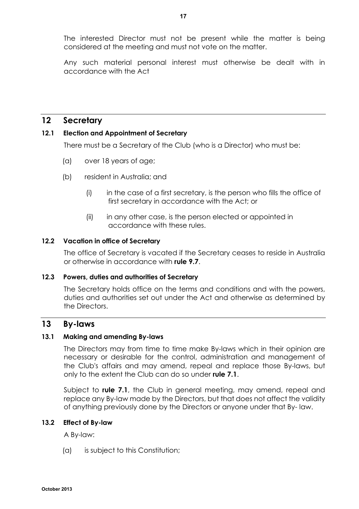The interested Director must not be present while the matter is being considered at the meeting and must not vote on the matter.

Any such material personal interest must otherwise be dealt with in accordance with the Act

## **12 Secretary**

## **12.1 Election and Appointment of Secretary**

There must be a Secretary of the Club (who is a Director) who must be:

- (a) over 18 years of age;
- (b) resident in Australia; and
	- (i) in the case of a first secretary, is the person who fills the office of first secretary in accordance with the Act; or
	- (ii) in any other case, is the person elected or appointed in accordance with these rules.

## **12.2 Vacation in office of Secretary**

The office of Secretary is vacated if the Secretary ceases to reside in Australia or otherwise in accordance with **rule 9.7**.

## **12.3 Powers, duties and authorities of Secretary**

The Secretary holds office on the terms and conditions and with the powers, duties and authorities set out under the Act and otherwise as determined by the Directors.

## **13 By-laws**

## **13.1 Making and amending By-laws**

The Directors may from time to time make By-laws which in their opinion are necessary or desirable for the control, administration and management of the Club's affairs and may amend, repeal and replace those By-laws, but only to the extent the Club can do so under **rule 7.1**.

Subject to **rule 7.1**, the Club in general meeting, may amend, repeal and replace any By-law made by the Directors, but that does not affect the validity of anything previously done by the Directors or anyone under that By- law.

## **13.2 Effect of By-law**

A By-law:

(a) is subject to this Constitution;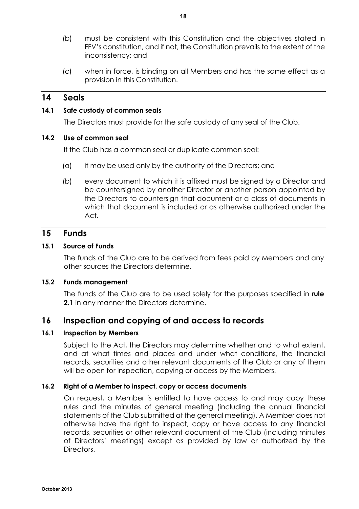- (b) must be consistent with this Constitution and the objectives stated in FFV's constitution, and if not, the Constitution prevails to the extent of the inconsistency; and
- (c) when in force, is binding on all Members and has the same effect as a provision in this Constitution.

## **14 Seals**

## **14.1 Safe custody of common seals**

The Directors must provide for the safe custody of any seal of the Club.

## **14.2 Use of common seal**

If the Club has a common seal or duplicate common seal:

- (a) it may be used only by the authority of the Directors; and
- (b) every document to which it is affixed must be signed by a Director and be countersigned by another Director or another person appointed by the Directors to countersign that document or a class of documents in which that document is included or as otherwise authorized under the Act.

## **15 Funds**

#### **15.1 Source of Funds**

The funds of the Club are to be derived from fees paid by Members and any other sources the Directors determine.

#### **15.2 Funds management**

The funds of the Club are to be used solely for the purposes specified in **rule 2.1** in any manner the Directors determine.

## **16 Inspection and copying of and access to records**

#### **16.1 Inspection by Members**

Subject to the Act, the Directors may determine whether and to what extent, and at what times and places and under what conditions, the financial records, securities and other relevant documents of the Club or any of them will be open for inspection, copying or access by the Members.

## **16.2 Right of a Member to inspect, copy or access documents**

On request, a Member is entitled to have access to and may copy these rules and the minutes of general meeting (including the annual financial statements of the Club submitted at the general meeting). A Member does not otherwise have the right to inspect, copy or have access to any financial records, securities or other relevant document of the Club (including minutes of Directors' meetings) except as provided by law or authorized by the Directors.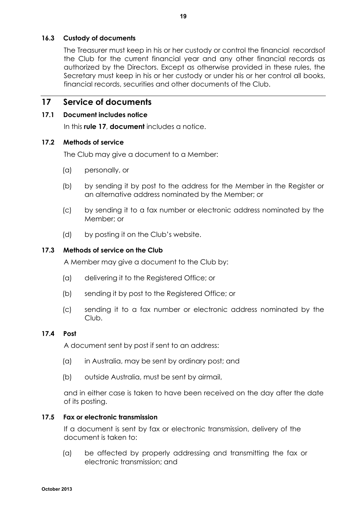## **16.3 Custody of documents**

The Treasurer must keep in his or her custody or control the financial recordsof the Club for the current financial year and any other financial records as authorized by the Directors. Except as otherwise provided in these rules, the Secretary must keep in his or her custody or under his or her control all books, financial records, securities and other documents of the Club.

## **17 Service of documents**

## **17.1 Document includes notice**

In this **rule 17**, **document** includes a notice.

## **17.2 Methods of service**

The Club may give a document to a Member:

- (a) personally, or
- (b) by sending it by post to the address for the Member in the Register or an alternative address nominated by the Member; or
- (c) by sending it to a fax number or electronic address nominated by the Member; or
- (d) by posting it on the Club's website.

## **17.3 Methods of service on the Club**

A Member may give a document to the Club by:

- (a) delivering it to the Registered Office; or
- (b) sending it by post to the Registered Office; or
- (c) sending it to a fax number or electronic address nominated by the Club.

## **17.4 Post**

A document sent by post if sent to an address:

- (a) in Australia, may be sent by ordinary post; and
- (b) outside Australia, must be sent by airmail,

and in either case is taken to have been received on the day after the date of its posting.

## **17.5 Fax or electronic transmission**

If a document is sent by fax or electronic transmission, delivery of the document is taken to:

(a) be affected by properly addressing and transmitting the fax or electronic transmission; and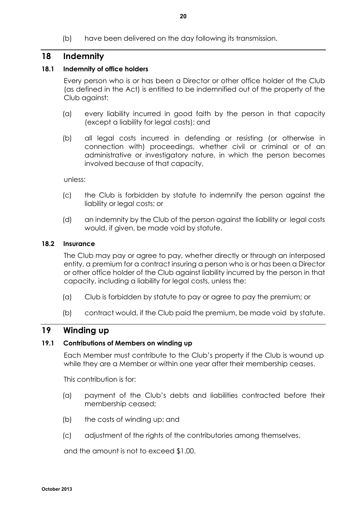(b) have been delivered on the day following its transmission.

## **18 Indemnity**

## **18.1 Indemnity of office holders**

Every person who is or has been a Director or other office holder of the Club (as defined in the Act) is entitled to be indemnified out of the property of the Club against:

- (a) every liability incurred in good faith by the person in that capacity (except a liability for legal costs); and
- (b) all legal costs incurred in defending or resisting (or otherwise in connection with) proceedings, whether civil or criminal or of an administrative or investigatory nature, in which the person becomes involved because of that capacity,

unless:

- (c) the Club is forbidden by statute to indemnify the person against the liability or legal costs; or
- (d) an indemnity by the Club of the person against the liability or legal costs would, if given, be made void by statute.

## **18.2 Insurance**

The Club may pay or agree to pay, whether directly or through an interposed entity, a premium for a contract insuring a person who is or has been a Director or other office holder of the Club against liability incurred by the person in that capacity, including a liability for legal costs, unless the:

- (a) Club is forbidden by statute to pay or agree to pay the premium; or
- (b) contract would, if the Club paid the premium, be made void by statute.

## **19 Winding up**

## **19.1 Contributions of Members on winding up**

Each Member must contribute to the Club's property if the Club is wound up while they are a Member or within one year after their membership ceases.

This contribution is for:

- (a) payment of the Club's debts and liabilities contracted before their membership ceased;
- (b) the costs of winding up; and
- (c) adjustment of the rights of the contributories among themselves,

and the amount is not to exceed \$1.00.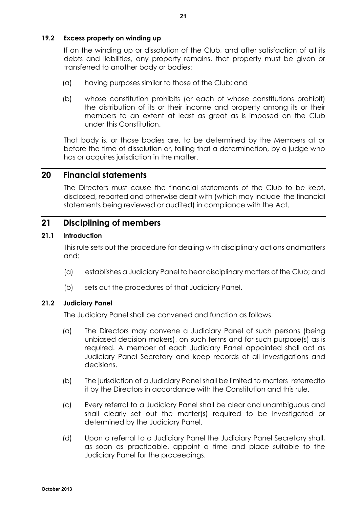## **19.2 Excess property on winding up**

If on the winding up or dissolution of the Club, and after satisfaction of all its debts and liabilities, any property remains, that property must be given or transferred to another body or bodies:

- (a) having purposes similar to those of the Club; and
- (b) whose constitution prohibits (or each of whose constitutions prohibit) the distribution of its or their income and property among its or their members to an extent at least as great as is imposed on the Club under this Constitution.

That body is, or those bodies are, to be determined by the Members at or before the time of dissolution or, failing that a determination, by a judge who has or acquires jurisdiction in the matter.

## **20 Financial statements**

The Directors must cause the financial statements of the Club to be kept, disclosed, reported and otherwise dealt with (which may include the financial statements being reviewed or audited) in compliance with the Act.

## **21 Disciplining of members**

## **21.1 Introduction**

This rule sets out the procedure for dealing with disciplinary actions andmatters and:

- (a) establishes a Judiciary Panel to hear disciplinary matters of the Club; and
- (b) sets out the procedures of that Judiciary Panel.

## **21.2 Judiciary Panel**

The Judiciary Panel shall be convened and function as follows.

- (a) The Directors may convene a Judiciary Panel of such persons (being unbiased decision makers), on such terms and for such purpose(s) as is required. A member of each Judiciary Panel appointed shall act as Judiciary Panel Secretary and keep records of all investigations and decisions.
- (b) The jurisdiction of a Judiciary Panel shall be limited to matters referredto it by the Directors in accordance with the Constitution and this rule.
- (c) Every referral to a Judiciary Panel shall be clear and unambiguous and shall clearly set out the matter(s) required to be investigated or determined by the Judiciary Panel.
- (d) Upon a referral to a Judiciary Panel the Judiciary Panel Secretary shall, as soon as practicable, appoint a time and place suitable to the Judiciary Panel for the proceedings.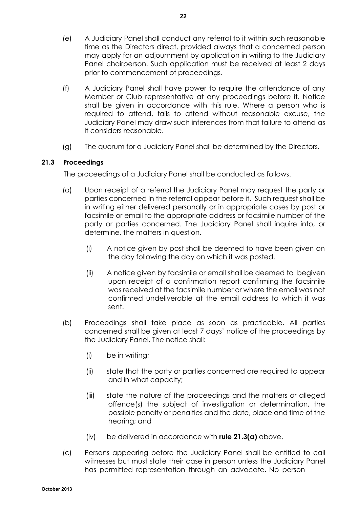- (e) A Judiciary Panel shall conduct any referral to it within such reasonable time as the Directors direct, provided always that a concerned person may apply for an adjournment by application in writing to the Judiciary Panel chairperson. Such application must be received at least 2 days prior to commencement of proceedings.
- (f) A Judiciary Panel shall have power to require the attendance of any Member or Club representative at any proceedings before it. Notice shall be given in accordance with this rule. Where a person who is required to attend, fails to attend without reasonable excuse, the Judiciary Panel may draw such inferences from that failure to attend as it considers reasonable.
- (g) The quorum for a Judiciary Panel shall be determined by the Directors.

## **21.3 Proceedings**

The proceedings of a Judiciary Panel shall be conducted as follows.

- (a) Upon receipt of a referral the Judiciary Panel may request the party or parties concerned in the referral appear before it. Such request shall be in writing either delivered personally or in appropriate cases by post or facsimile or email to the appropriate address or facsimile number of the party or parties concerned. The Judiciary Panel shall inquire into, or determine, the matters in question.
	- (i) A notice given by post shall be deemed to have been given on the day following the day on which it was posted.
	- (ii) A notice given by facsimile or email shall be deemed to begiven upon receipt of a confirmation report confirming the facsimile was received at the facsimile number or where the email was not confirmed undeliverable at the email address to which it was sent.
- (b) Proceedings shall take place as soon as practicable. All parties concerned shall be given at least 7 days' notice of the proceedings by the Judiciary Panel. The notice shall:
	- (i) be in writing;
	- (ii) state that the party or parties concerned are required to appear and in what capacity;
	- (iii) state the nature of the proceedings and the matters or alleged offence(s) the subject of investigation or determination, the possible penalty or penalties and the date, place and time of the hearing; and
	- (iv) be delivered in accordance with **rule 21.3(a)** above.
- (c) Persons appearing before the Judiciary Panel shall be entitled to call witnesses but must state their case in person unless the Judiciary Panel has permitted representation through an advocate. No person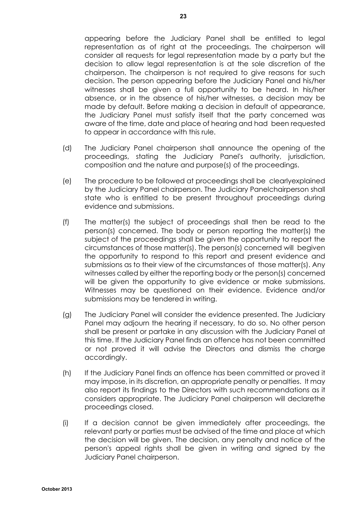appearing before the Judiciary Panel shall be entitled to legal representation as of right at the proceedings. The chairperson will consider all requests for legal representation made by a party but the decision to allow legal representation is at the sole discretion of the chairperson. The chairperson is not required to give reasons for such decision. The person appearing before the Judiciary Panel and his/her witnesses shall be given a full opportunity to be heard. In his/her absence, or in the absence of his/her witnesses, a decision may be made by default. Before making a decision in default of appearance, the Judiciary Panel must satisfy itself that the party concerned was aware of the time, date and place of hearing and had been requested to appear in accordance with this rule.

- (d) The Judiciary Panel chairperson shall announce the opening of the proceedings, stating the Judiciary Panel's authority, jurisdiction, composition and the nature and purpose(s) of the proceedings.
- (e) The procedure to be followed at proceedings shall be clearlyexplained by the Judiciary Panel chairperson. The Judiciary Panelchairperson shall state who is entitled to be present throughout proceedings during evidence and submissions.
- (f) The matter(s) the subject of proceedings shall then be read to the person(s) concerned. The body or person reporting the matter(s) the subject of the proceedings shall be given the opportunity to report the circumstances of those matter(s). The person(s) concerned will begiven the opportunity to respond to this report and present evidence and submissions as to their view of the circumstances of those matter(s). Any witnesses called by either the reporting body or the person(s) concerned will be given the opportunity to give evidence or make submissions. Witnesses may be questioned on their evidence. Evidence and/or submissions may be tendered in writing.
- (g) The Judiciary Panel will consider the evidence presented. The Judiciary Panel may adjourn the hearing if necessary, to do so. No other person shall be present or partake in any discussion with the Judiciary Panel at this time. If the Judiciary Panel finds an offence has not been committed or not proved it will advise the Directors and dismiss the charge accordingly.
- (h) If the Judiciary Panel finds an offence has been committed or proved it may impose, in its discretion, an appropriate penalty or penalties. It may also report its findings to the Directors with such recommendations as it considers appropriate. The Judiciary Panel chairperson will declarethe proceedings closed.
- (i) If a decision cannot be given immediately after proceedings, the relevant party or parties must be advised of the time and place at which the decision will be given. The decision, any penalty and notice of the person's appeal rights shall be given in writing and signed by the Judiciary Panel chairperson.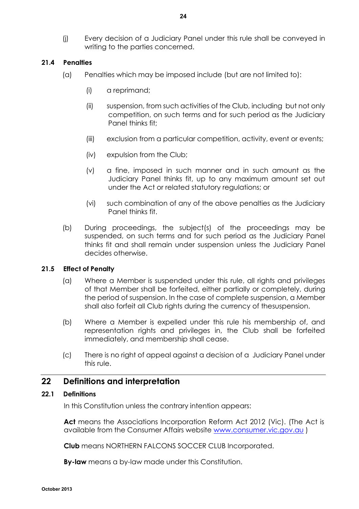(j) Every decision of a Judiciary Panel under this rule shall be conveyed in writing to the parties concerned.

## **21.4 Penalties**

- (a) Penalties which may be imposed include (but are not limited to):
	- (i) a reprimand;
	- (ii) suspension, from such activities of the Club, including but not only competition, on such terms and for such period as the Judiciary Panel thinks fit;
	- (iii) exclusion from a particular competition, activity, event or events;
	- (iv) expulsion from the Club;
	- (v) a fine, imposed in such manner and in such amount as the Judiciary Panel thinks fit, up to any maximum amount set out under the Act or related statutory regulations; or
	- (vi) such combination of any of the above penalties as the Judiciary Panel thinks fit.
- (b) During proceedings, the subject(s) of the proceedings may be suspended, on such terms and for such period as the Judiciary Panel thinks fit and shall remain under suspension unless the Judiciary Panel decides otherwise.

## **21.5 Effect of Penalty**

- (a) Where a Member is suspended under this rule, all rights and privileges of that Member shall be forfeited, either partially or completely, during the period of suspension. In the case of complete suspension, a Member shall also forfeit all Club rights during the currency of thesuspension.
- (b) Where a Member is expelled under this rule his membership of, and representation rights and privileges in, the Club shall be forfeited immediately, and membership shall cease.
- (c) There is no right of appeal against a decision of a Judiciary Panel under this rule.

## **22 Definitions and interpretation**

## **22.1 Definitions**

In this Constitution unless the contrary intention appears:

**Act** means the Associations Incorporation Reform Act 2012 (Vic). (The Act is available from the Consumer Affairs website www.consumer.vic.gov.au )

**Club** means NORTHERN FALCONS SOCCER CLUB Incorporated.

**By-law** means a by-law made under this Constitution.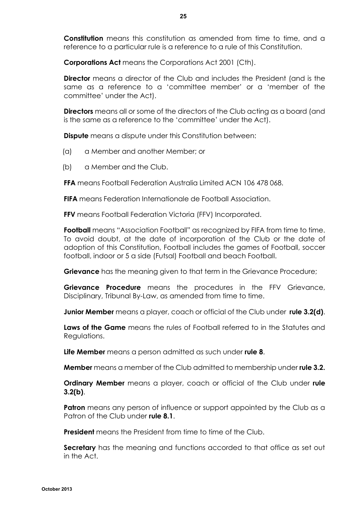**Constitution** means this constitution as amended from time to time, and a reference to a particular rule is a reference to a rule of this Constitution.

**Corporations Act** means the Corporations Act 2001 (Cth).

**Director** means a director of the Club and includes the President (and is the same as a reference to a 'committee member' or a 'member of the committee' under the Act).

**Directors** means all or some of the directors of the Club acting as a board (and is the same as a reference to the 'committee' under the Act).

**Dispute** means a dispute under this Constitution between:

- (a) a Member and another Member; or
- (b) a Member and the Club.

**FFA** means Football Federation Australia Limited ACN 106 478 068.

**FIFA** means Federation Internationale de Football Association.

**FFV** means Football Federation Victoria (FFV) Incorporated.

**Football** means "Association Football" as recognized by FIFA from time to time. To avoid doubt, at the date of incorporation of the Club or the date of adoption of this Constitution, Football includes the games of Football, soccer football, indoor or 5 a side (Futsal) Football and beach Football.

**Grievance** has the meaning given to that term in the Grievance Procedure;

**Grievance Procedure** means the procedures in the FFV Grievance, Disciplinary, Tribunal By-Law, as amended from time to time.

**Junior Member** means a player, coach or official of the Club under **rule 3.2(d)**.

**Laws of the Game** means the rules of Football referred to in the Statutes and Regulations.

**Life Member** means a person admitted as such under **rule 8**.

**Member** means a member of the Club admitted to membership under **rule 3.2.**

**Ordinary Member** means a player, coach or official of the Club under **rule 3.2(b)**.

**Patron** means any person of influence or support appointed by the Club as a Patron of the Club under **rule 8.1**.

**President** means the President from time to time of the Club.

**Secretary** has the meaning and functions accorded to that office as set out in the Act.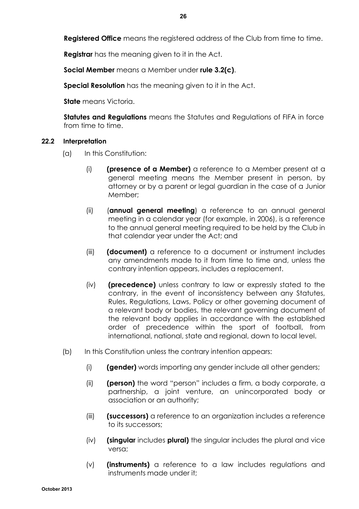**Registered Office** means the registered address of the Club from time to time.

**Registrar** has the meaning given to it in the Act.

**Social Member** means a Member under **rule 3.2(c)**.

**Special Resolution** has the meaning given to it in the Act.

**State** means Victoria.

**Statutes and Regulations** means the Statutes and Regulations of FIFA in force from time to time.

## **22.2 Interpretation**

- (a) In this Constitution:
	- (i) **(presence of a Member)** a reference to a Member present at a general meeting means the Member present in person, by attorney or by a parent or legal guardian in the case of a Junior Member;
	- (ii) (**annual general meeting**) a reference to an annual general meeting in a calendar year (for example, in 2006), is a reference to the annual general meeting required to be held by the Club in that calendar year under the Act; and
	- (iii) **(document)** a reference to a document or instrument includes any amendments made to it from time to time and, unless the contrary intention appears, includes a replacement.
	- (iv) **(precedence)** unless contrary to law or expressly stated to the contrary, in the event of inconsistency between any Statutes, Rules, Regulations, Laws, Policy or other governing document of a relevant body or bodies, the relevant governing document of the relevant body applies in accordance with the established order of precedence within the sport of football, from international, national, state and regional, down to local level.
- (b) In this Constitution unless the contrary intention appears:
	- (i) **(gender)** words importing any gender include all other genders;
	- (ii) **(person)** the word "person" includes a firm, a body corporate, a partnership, a joint venture, an unincorporated body or association or an authority;
	- (iii) **(successors)** a reference to an organization includes a reference to its successors;
	- (iv) **(singular** includes **plural)** the singular includes the plural and vice versa;
	- (v) **(instruments)** a reference to a law includes regulations and instruments made under it;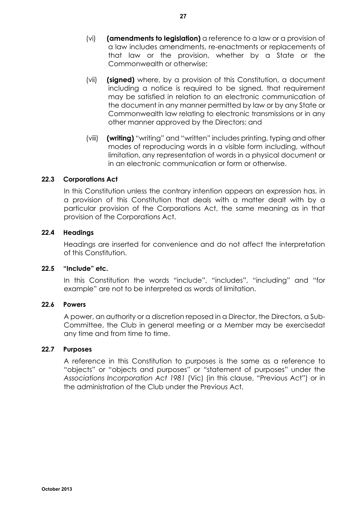- (vi) **(amendments to legislation)** a reference to a law or a provision of a law includes amendments, re-enactments or replacements of that law or the provision, whether by a State or the Commonwealth or otherwise;
- (vii) **(signed)** where, by a provision of this Constitution, a document including a notice is required to be signed, that requirement may be satisfied in relation to an electronic communication of the document in any manner permitted by law or by any State or Commonwealth law relating to electronic transmissions or in any other manner approved by the Directors; and
- (viii) **(writing)** "writing" and "written" includes printing, typing and other modes of reproducing words in a visible form including, without limitation, any representation of words in a physical document or in an electronic communication or form or otherwise.

## **22.3 Corporations Act**

In this Constitution unless the contrary intention appears an expression has, in a provision of this Constitution that deals with a matter dealt with by a particular provision of the Corporations Act, the same meaning as in that provision of the Corporations Act.

## **22.4 Headings**

Headings are inserted for convenience and do not affect the interpretation of this Constitution.

## **22.5 "Include" etc.**

In this Constitution the words "include", "includes", "including" and "for example" are not to be interpreted as words of limitation.

## **22.6 Powers**

A power, an authority or a discretion reposed in a Director, the Directors, a Sub-Committee, the Club in general meeting or a Member may be exercisedat any time and from time to time.

## **22.7 Purposes**

A reference in this Constitution to purposes is the same as a reference to "objects" or "objects and purposes" or "statement of purposes" under the *Associations Incorporation Act 1981* (Vic) (in this clause, "Previous Act") or in the administration of the Club under the Previous Act.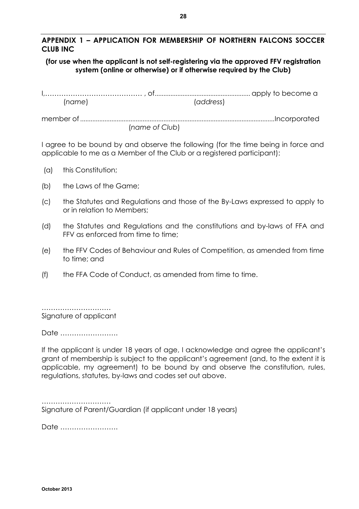## **APPENDIX 1 – APPLICATION FOR MEMBERSHIP OF NORTHERN FALCONS SOCCER CLUB INC**

## **(for use when the applicant is not self-registering via the approved FFV registration system (online or otherwise) or if otherwise required by the Club)**

I,…………………………………… , of....................................................... apply to become a (*name*) (*address*)

member of ................................................................................................................Incorporated (*name of Club*)

I agree to be bound by and observe the following (for the time being in force and applicable to me as a Member of the Club or a registered participant):

- (a) this Constitution;
- (b) the Laws of the Game;
- (c) the Statutes and Regulations and those of the By-Laws expressed to apply to or in relation to Members;
- (d) the Statutes and Regulations and the constitutions and by-laws of FFA and FFV as enforced from time to time;
- (e) the FFV Codes of Behaviour and Rules of Competition, as amended from time to time; and
- (f) the FFA Code of Conduct, as amended from time to time.

…………………………… Signature of applicant

Date …………………….

If the applicant is under 18 years of age, I acknowledge and agree the applicant's grant of membership is subject to the applicant's agreement (and, to the extent it is applicable, my agreement) to be bound by and observe the constitution, rules, regulations, statutes, by-laws and codes set out above.

…………………………… Signature of Parent/Guardian (if applicant under 18 years)

Date …………………….